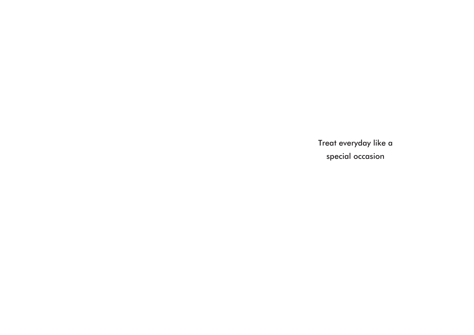Treat everyday like a special occasion